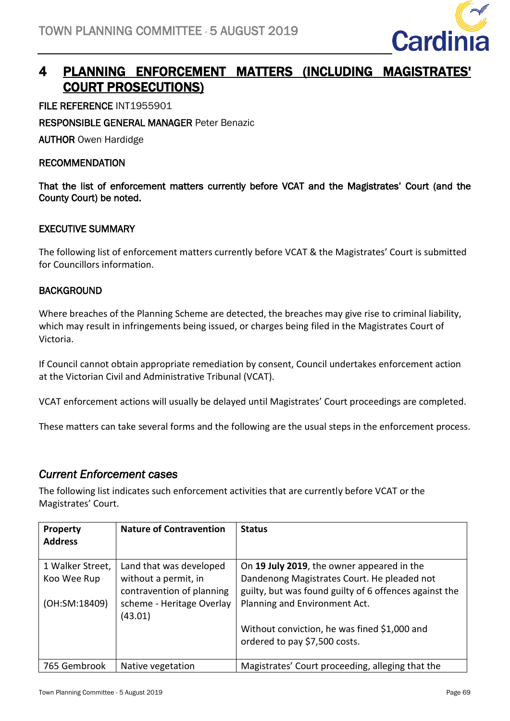

# 4 PLANNING ENFORCEMENT MATTERS (INCLUDING MAGISTRATES' COURT PROSECUTIONS)

FILE REFERENCE INT1955901

RESPONSIBLE GENERAL MANAGER Peter Benazic

AUTHOR Owen Hardidge

#### RECOMMENDATION

That the list of enforcement matters currently before VCAT and the Magistrates' Court (and the County Court) be noted.

## EXECUTIVE SUMMARY

The following list of enforcement matters currently before VCAT & the Magistrates' Court is submitted for Councillors information.

## **BACKGROUND**

Where breaches of the Planning Scheme are detected, the breaches may give rise to criminal liability, which may result in infringements being issued, or charges being filed in the Magistrates Court of Victoria.

If Council cannot obtain appropriate remediation by consent, Council undertakes enforcement action at the Victorian Civil and Administrative Tribunal (VCAT).

VCAT enforcement actions will usually be delayed until Magistrates' Court proceedings are completed.

These matters can take several forms and the following are the usual steps in the enforcement process.

# *Current Enforcement cases*

The following list indicates such enforcement activities that are currently before VCAT or the Magistrates' Court.

| <b>Property</b><br><b>Address</b>                | <b>Nature of Contravention</b>                                                                                       | <b>Status</b>                                                                                                                                                                        |
|--------------------------------------------------|----------------------------------------------------------------------------------------------------------------------|--------------------------------------------------------------------------------------------------------------------------------------------------------------------------------------|
| 1 Walker Street,<br>Koo Wee Rup<br>(OH:SM:18409) | Land that was developed<br>without a permit, in<br>contravention of planning<br>scheme - Heritage Overlay<br>(43.01) | On 19 July 2019, the owner appeared in the<br>Dandenong Magistrates Court. He pleaded not<br>guilty, but was found guilty of 6 offences against the<br>Planning and Environment Act. |
|                                                  |                                                                                                                      | Without conviction, he was fined \$1,000 and<br>ordered to pay \$7,500 costs.                                                                                                        |
| 765 Gembrook                                     | Native vegetation                                                                                                    | Magistrates' Court proceeding, alleging that the                                                                                                                                     |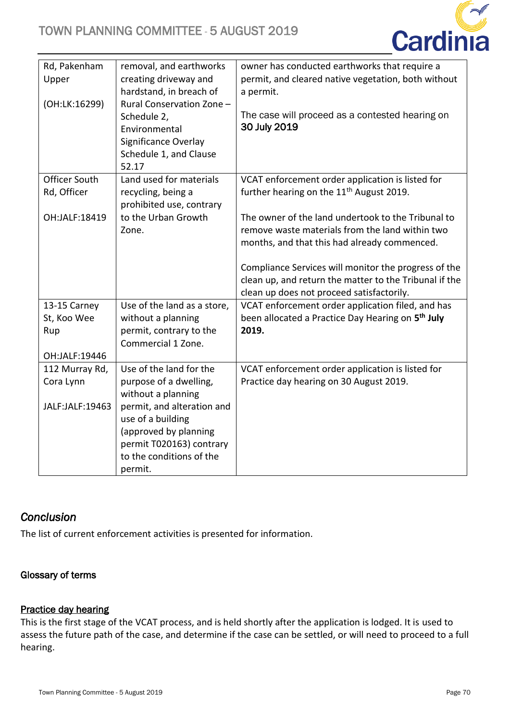

| Rd, Pakenham         | removal, and earthworks                       | owner has conducted earthworks that require a                   |
|----------------------|-----------------------------------------------|-----------------------------------------------------------------|
| Upper                | creating driveway and                         | permit, and cleared native vegetation, both without             |
|                      | hardstand, in breach of                       | a permit.                                                       |
| (OH:LK:16299)        | Rural Conservation Zone -                     |                                                                 |
|                      | Schedule 2,                                   | The case will proceed as a contested hearing on<br>30 July 2019 |
|                      | Environmental                                 |                                                                 |
|                      | Significance Overlay                          |                                                                 |
|                      | Schedule 1, and Clause<br>52.17               |                                                                 |
| <b>Officer South</b> | Land used for materials                       | VCAT enforcement order application is listed for                |
| Rd, Officer          | recycling, being a                            | further hearing on the 11 <sup>th</sup> August 2019.            |
|                      | prohibited use, contrary                      |                                                                 |
| OH:JALF:18419        | to the Urban Growth                           | The owner of the land undertook to the Tribunal to              |
|                      | Zone.                                         | remove waste materials from the land within two                 |
|                      |                                               | months, and that this had already commenced.                    |
|                      |                                               |                                                                 |
|                      |                                               | Compliance Services will monitor the progress of the            |
|                      |                                               | clean up, and return the matter to the Tribunal if the          |
|                      |                                               | clean up does not proceed satisfactorily.                       |
| 13-15 Carney         | Use of the land as a store,                   | VCAT enforcement order application filed, and has               |
| St, Koo Wee          | without a planning                            | been allocated a Practice Day Hearing on 5 <sup>th</sup> July   |
| Rup                  | permit, contrary to the<br>Commercial 1 Zone. | 2019.                                                           |
| OH:JALF:19446        |                                               |                                                                 |
| 112 Murray Rd,       | Use of the land for the                       | VCAT enforcement order application is listed for                |
| Cora Lynn            | purpose of a dwelling,                        | Practice day hearing on 30 August 2019.                         |
|                      | without a planning                            |                                                                 |
| JALF:JALF:19463      | permit, and alteration and                    |                                                                 |
|                      | use of a building                             |                                                                 |
|                      | (approved by planning                         |                                                                 |
|                      | permit T020163) contrary                      |                                                                 |
|                      | to the conditions of the                      |                                                                 |
|                      | permit.                                       |                                                                 |

# *Conclusion*

The list of current enforcement activities is presented for information.

# Glossary of terms

# Practice day hearing

This is the first stage of the VCAT process, and is held shortly after the application is lodged. It is used to assess the future path of the case, and determine if the case can be settled, or will need to proceed to a full hearing.